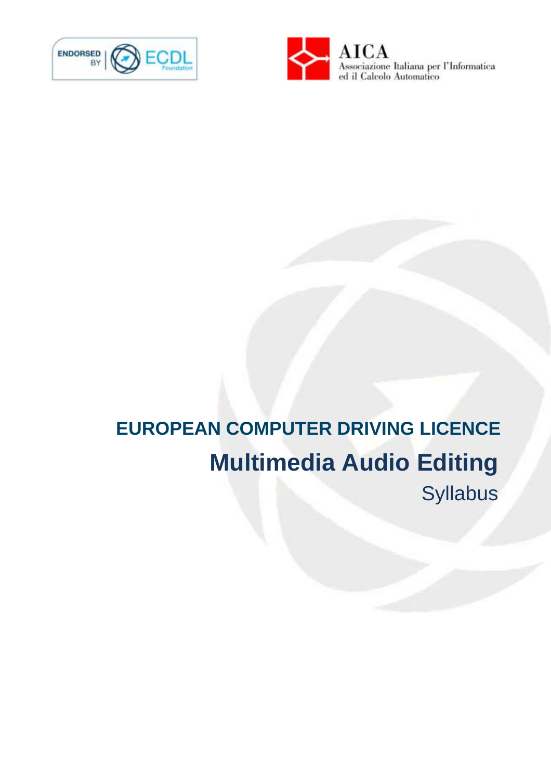



# **EUROPEAN COMPUTER DRIVING LICENCE Multimedia Audio Editing** Syllabus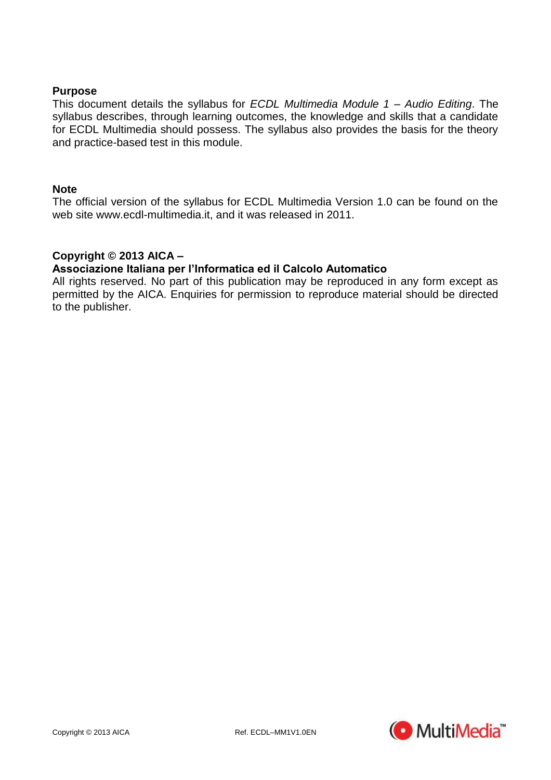## **Purpose**

This document details the syllabus for *ECDL Multimedia Module 1 – Audio Editing*. The syllabus describes, through learning outcomes, the knowledge and skills that a candidate for ECDL Multimedia should possess. The syllabus also provides the basis for the theory and practice-based test in this module.

### **Note**

The official version of the syllabus for ECDL Multimedia Version 1.0 can be found on the web site www.ecdl-multimedia.it, and it was released in 2011.

# **Copyright © 2013 AICA –**

### **Associazione Italiana per l'Informatica ed il Calcolo Automatico**

All rights reserved. No part of this publication may be reproduced in any form except as permitted by the AICA. Enquiries for permission to reproduce material should be directed to the publisher.

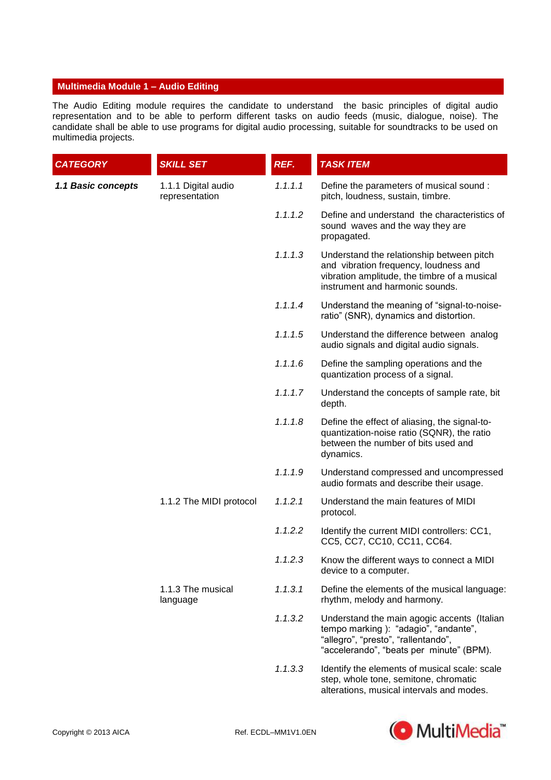#### **Multimedia Module 1 – Audio Editing**

The Audio Editing module requires the candidate to understand the basic principles of digital audio representation and to be able to perform different tasks on audio feeds (music, dialogue, noise). The candidate shall be able to use programs for digital audio processing, suitable for soundtracks to be used on multimedia projects.

| <b>CATEGORY</b>    | <b>SKILL SET</b>                      | REF.    | <b>TASK ITEM</b>                                                                                                                                                       |
|--------------------|---------------------------------------|---------|------------------------------------------------------------------------------------------------------------------------------------------------------------------------|
| 1.1 Basic concepts | 1.1.1 Digital audio<br>representation | 1.1.1.1 | Define the parameters of musical sound :<br>pitch, loudness, sustain, timbre.                                                                                          |
|                    |                                       | 1.1.1.2 | Define and understand the characteristics of<br>sound waves and the way they are<br>propagated.                                                                        |
|                    |                                       | 1.1.1.3 | Understand the relationship between pitch<br>and vibration frequency, loudness and<br>vibration amplitude, the timbre of a musical<br>instrument and harmonic sounds.  |
|                    |                                       | 1.1.1.4 | Understand the meaning of "signal-to-noise-<br>ratio" (SNR), dynamics and distortion.                                                                                  |
|                    |                                       | 1.1.1.5 | Understand the difference between analog<br>audio signals and digital audio signals.                                                                                   |
|                    |                                       | 1.1.1.6 | Define the sampling operations and the<br>quantization process of a signal.                                                                                            |
|                    |                                       | 1.1.1.7 | Understand the concepts of sample rate, bit<br>depth.                                                                                                                  |
|                    |                                       | 1.1.1.8 | Define the effect of aliasing, the signal-to-<br>quantization-noise ratio (SQNR), the ratio<br>between the number of bits used and<br>dynamics.                        |
|                    |                                       | 1.1.1.9 | Understand compressed and uncompressed<br>audio formats and describe their usage.                                                                                      |
|                    | 1.1.2 The MIDI protocol               | 1.1.2.1 | Understand the main features of MIDI<br>protocol.                                                                                                                      |
|                    |                                       | 1.1.2.2 | Identify the current MIDI controllers: CC1,<br>CC5, CC7, CC10, CC11, CC64.                                                                                             |
|                    |                                       | 1.1.2.3 | Know the different ways to connect a MIDI<br>device to a computer.                                                                                                     |
|                    | 1.1.3 The musical<br>language         | 1.1.3.1 | Define the elements of the musical language:<br>rhythm, melody and harmony.                                                                                            |
|                    |                                       | 1.1.3.2 | Understand the main agogic accents (Italian<br>tempo marking): "adagio", "andante",<br>"allegro", "presto", "rallentando",<br>"accelerando", "beats per minute" (BPM). |
|                    |                                       | 1.1.3.3 | Identify the elements of musical scale: scale<br>step, whole tone, semitone, chromatic                                                                                 |



alterations, musical intervals and modes.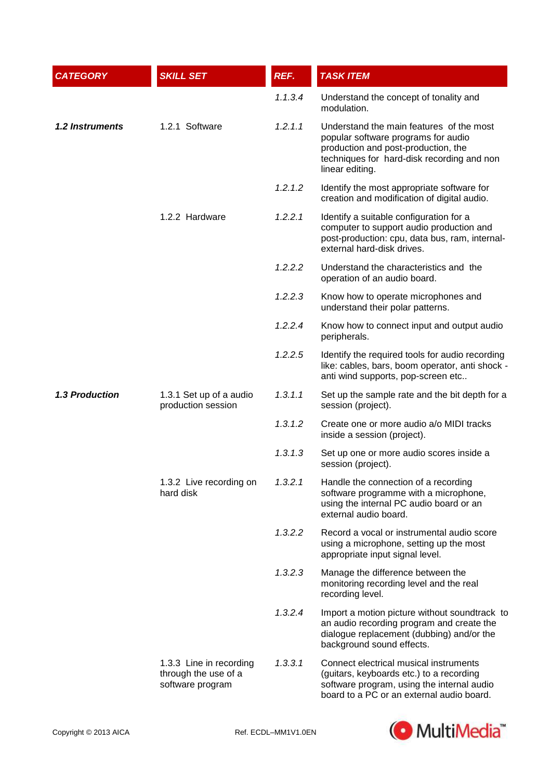| <b>CATEGORY</b>        | <b>SKILL SET</b>                                                    | REF.    | <b>TASK ITEM</b>                                                                                                                                                                        |
|------------------------|---------------------------------------------------------------------|---------|-----------------------------------------------------------------------------------------------------------------------------------------------------------------------------------------|
|                        |                                                                     | 1.1.3.4 | Understand the concept of tonality and<br>modulation.                                                                                                                                   |
| <b>1.2 Instruments</b> | 1.2.1 Software                                                      | 1.2.1.1 | Understand the main features of the most<br>popular software programs for audio<br>production and post-production, the<br>techniques for hard-disk recording and non<br>linear editing. |
|                        |                                                                     | 1.2.1.2 | Identify the most appropriate software for<br>creation and modification of digital audio.                                                                                               |
|                        | 1.2.2 Hardware                                                      | 1.2.2.1 | Identify a suitable configuration for a<br>computer to support audio production and<br>post-production: cpu, data bus, ram, internal-<br>external hard-disk drives.                     |
|                        |                                                                     | 1.2.2.2 | Understand the characteristics and the<br>operation of an audio board.                                                                                                                  |
|                        |                                                                     | 1.2.2.3 | Know how to operate microphones and<br>understand their polar patterns.                                                                                                                 |
|                        |                                                                     | 1.2.2.4 | Know how to connect input and output audio<br>peripherals.                                                                                                                              |
|                        |                                                                     | 1.2.2.5 | Identify the required tools for audio recording<br>like: cables, bars, boom operator, anti shock -<br>anti wind supports, pop-screen etc                                                |
| <b>1.3 Production</b>  | 1.3.1 Set up of a audio<br>production session                       | 1.3.1.1 | Set up the sample rate and the bit depth for a<br>session (project).                                                                                                                    |
|                        |                                                                     | 1.3.1.2 | Create one or more audio a/o MIDI tracks<br>inside a session (project).                                                                                                                 |
|                        |                                                                     | 1.3.1.3 | Set up one or more audio scores inside a<br>session (project).                                                                                                                          |
|                        | 1.3.2 Live recording on<br>hard disk                                | 1.3.2.1 | Handle the connection of a recording<br>software programme with a microphone,<br>using the internal PC audio board or an<br>external audio board.                                       |
|                        |                                                                     | 1.3.2.2 | Record a vocal or instrumental audio score<br>using a microphone, setting up the most<br>appropriate input signal level.                                                                |
|                        |                                                                     | 1.3.2.3 | Manage the difference between the<br>monitoring recording level and the real<br>recording level.                                                                                        |
|                        |                                                                     | 1.3.2.4 | Import a motion picture without soundtrack to<br>an audio recording program and create the<br>dialogue replacement (dubbing) and/or the<br>background sound effects.                    |
|                        | 1.3.3 Line in recording<br>through the use of a<br>software program | 1.3.3.1 | Connect electrical musical instruments<br>(guitars, keyboards etc.) to a recording<br>software program, using the internal audio<br>board to a PC or an external audio board.           |

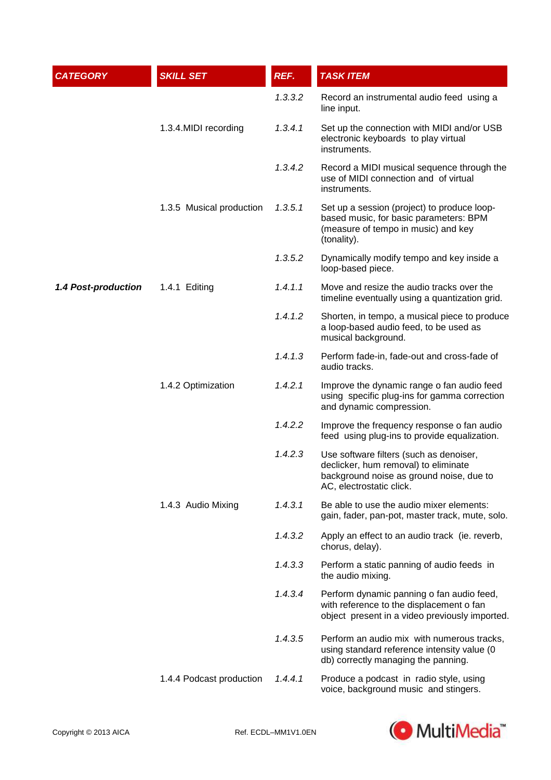| <b>CATEGORY</b>     | <b>SKILL SET</b>         | REF.    | <b>TASK ITEM</b>                                                                                                                                        |
|---------------------|--------------------------|---------|---------------------------------------------------------------------------------------------------------------------------------------------------------|
|                     |                          | 1.3.3.2 | Record an instrumental audio feed using a<br>line input.                                                                                                |
|                     | 1.3.4. MIDI recording    | 1.3.4.1 | Set up the connection with MIDI and/or USB<br>electronic keyboards to play virtual<br>instruments.                                                      |
|                     |                          | 1.3.4.2 | Record a MIDI musical sequence through the<br>use of MIDI connection and of virtual<br>instruments.                                                     |
|                     | 1.3.5 Musical production | 1.3.5.1 | Set up a session (project) to produce loop-<br>based music, for basic parameters: BPM<br>(measure of tempo in music) and key<br>(tonality).             |
|                     |                          | 1.3.5.2 | Dynamically modify tempo and key inside a<br>loop-based piece.                                                                                          |
| 1.4 Post-production | 1.4.1 Editing            | 1.4.1.1 | Move and resize the audio tracks over the<br>timeline eventually using a quantization grid.                                                             |
|                     |                          | 1.4.1.2 | Shorten, in tempo, a musical piece to produce<br>a loop-based audio feed, to be used as<br>musical background.                                          |
|                     |                          | 1.4.1.3 | Perform fade-in, fade-out and cross-fade of<br>audio tracks.                                                                                            |
|                     | 1.4.2 Optimization       | 1.4.2.1 | Improve the dynamic range o fan audio feed<br>using specific plug-ins for gamma correction<br>and dynamic compression.                                  |
|                     |                          | 1.4.2.2 | Improve the frequency response o fan audio<br>feed using plug-ins to provide equalization.                                                              |
|                     |                          | 1.4.2.3 | Use software filters (such as denoiser,<br>declicker, hum removal) to eliminate<br>background noise as ground noise, due to<br>AC, electrostatic click. |
|                     | 1.4.3 Audio Mixing       | 1.4.3.1 | Be able to use the audio mixer elements:<br>gain, fader, pan-pot, master track, mute, solo.                                                             |
|                     |                          | 1.4.3.2 | Apply an effect to an audio track (ie. reverb,<br>chorus, delay).                                                                                       |
|                     |                          | 1.4.3.3 | Perform a static panning of audio feeds in<br>the audio mixing.                                                                                         |
|                     |                          | 1.4.3.4 | Perform dynamic panning o fan audio feed,<br>with reference to the displacement o fan<br>object present in a video previously imported.                 |
|                     |                          | 1.4.3.5 | Perform an audio mix with numerous tracks,<br>using standard reference intensity value (0<br>db) correctly managing the panning.                        |
|                     | 1.4.4 Podcast production | 1.4.4.1 | Produce a podcast in radio style, using<br>voice, background music and stingers.                                                                        |